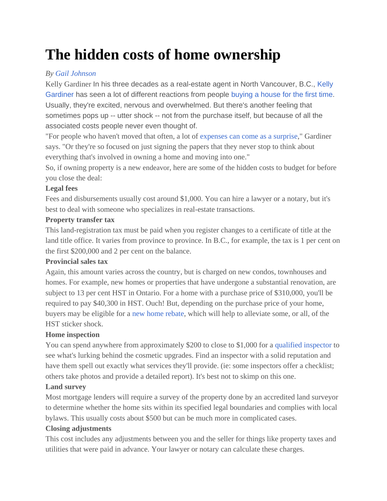# **The hidden costs of home ownership**

## *By [Gail Johnson](http://d1ej5r2t2cu524.cloudfront.net/RaymondLee-Merix/merix-morning-update-35/246649-ca.finance.yahoo.com/blogs/author/johnson-20120127/?c=39b542f9-fe59-42c7-8cd9-c1a8c1757d64)*

Kelly Gardiner In his three decades as a real-estate agent in North Vancouver, B.C., [Kelly](http://d1ej5r2t2cu524.cloudfront.net/RaymondLee-Merix/merix-morning-update-35/246653-www.lynnvalleylife.com/?c=39b542f9-fe59-42c7-8cd9-c1a8c1757d64)  [Gardiner h](http://d1ej5r2t2cu524.cloudfront.net/RaymondLee-Merix/merix-morning-update-35/246653-www.lynnvalleylife.com/?c=39b542f9-fe59-42c7-8cd9-c1a8c1757d64)as seen a lot of different reactions from people [buying a house for the first time.](http://d1ej5r2t2cu524.cloudfront.net/RaymondLee-Merix/merix-morning-update-35/246657-ca.finance.yahoo.com/news/first-time-homebuyers-five-things-230000892.html?c=39b542f9-fe59-42c7-8cd9-c1a8c1757d64) Usually, they're excited, nervous and overwhelmed. But there's another feeling that sometimes pops up -- utter shock -- not from the purchase itself, but because of all the associated costs people never even thought of.

"For people who haven't moved that often, a lot of [expenses can come as a surprise,](http://d1ej5r2t2cu524.cloudfront.net/RaymondLee-Merix/merix-morning-update-35/246661-ca.finance.yahoo.com/news/4-money-mistakes-first-time-070034003.html?c=39b542f9-fe59-42c7-8cd9-c1a8c1757d64)" Gardiner says. "Or they're so focused on just signing the papers that they never stop to think about everything that's involved in owning a home and moving into one."

So, if owning property is a new endeavor, here are some of the hidden costs to budget for before you close the deal:

## **Legal fees**

Fees and disbursements usually cost around \$1,000. You can hire a lawyer or a notary, but it's best to deal with someone who specializes in real-estate transactions.

## **Property transfer tax**

This land-registration tax must be paid when you register changes to a certificate of title at the land title office. It varies from province to province. In B.C., for example, the tax is 1 per cent on the first \$200,000 and 2 per cent on the balance.

## **Provincial sales tax**

Again, this amount varies across the country, but is charged on new condos, townhouses and homes. For example, new homes or properties that have undergone a substantial renovation, are subject to 13 per cent HST in Ontario. For a home with a purchase price of \$310,000, you'll be required to pay \$40,300 in HST. Ouch! But, depending on the purchase price of your home, buyers may be eligible for a [new home rebate,](http://d1ej5r2t2cu524.cloudfront.net/RaymondLee-Merix/merix-morning-update-35/246665-www.cra-arc.gc.ca/e/pub/gi/gi-085/gi-085-e.pdf?c=39b542f9-fe59-42c7-8cd9-c1a8c1757d64) which will help to alleviate some, or all, of the HST sticker shock.

# **Home inspection**

You can spend anywhere from approximately \$200 to close to \$1,000 for a [qualified inspector t](http://d1ej5r2t2cu524.cloudfront.net/RaymondLee-Merix/merix-morning-update-35/246669-ca.finance.yahoo.com/news/why-you-need-a-home-inspection.html?c=39b542f9-fe59-42c7-8cd9-c1a8c1757d64)o see what's lurking behind the cosmetic upgrades. Find an inspector with a solid reputation and have them spell out exactly what services they'll provide. (ie: some inspectors offer a checklist; others take photos and provide a detailed report). It's best not to skimp on this one.

# **Land survey**

Most mortgage lenders will require a survey of the property done by an accredited land surveyor to determine whether the home sits within its specified legal boundaries and complies with local bylaws. This usually costs about \$500 but can be much more in complicated cases.

# **Closing adjustments**

This cost includes any adjustments between you and the seller for things like property taxes and utilities that were paid in advance. Your lawyer or notary can calculate these charges.